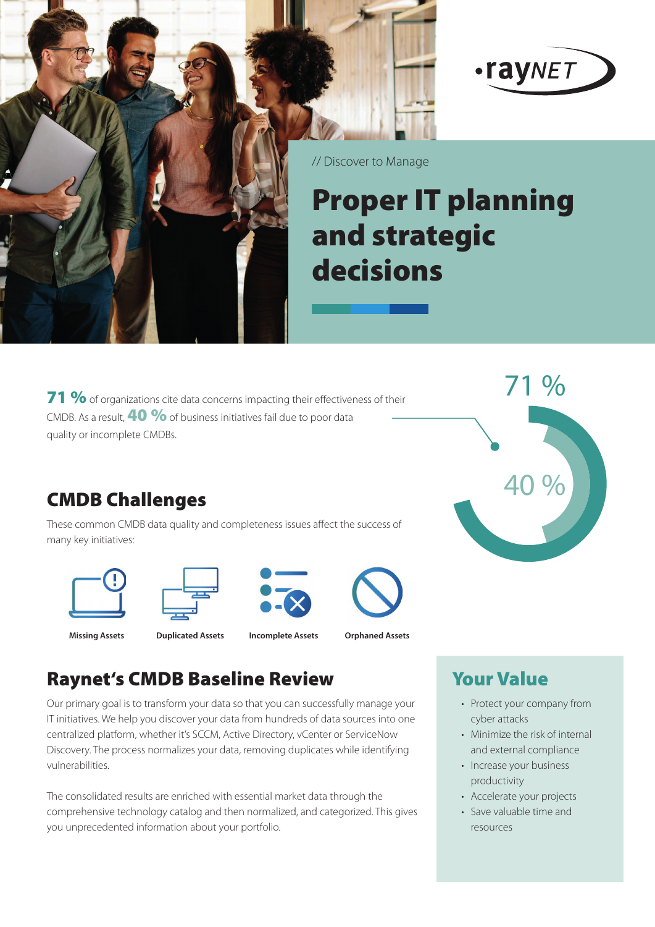



// Discover to Manage

# Proper IT planning and strategic decisions

71 % of organizations cite data concerns impacting their effectiveness of their CMDB. As a result. **40 %** of business initiatives fail due to poor data quality or incomplete CMDBs.



## **CMDB Challenges**

These common CMDB data quality and completeness issues affect the success of many key initiatives:









**Missing Assets Duplicated Assets Incomplete Assets Orphaned Assets**

## Raynet's CMDB Baseline Review

Our primary goal is to transform your data so that you can successfully manage your IT initiatives. We help you discover your data from hundreds of data sources into one centralized platform, whether it's SCCM, Active Directory, vCenter or ServiceNow Discovery. The process normalizes your data, removing duplicates while identifying vulnerabilities.

The consolidated results are enriched with essential market data through the comprehensive technology catalog and then normalized, and categorized. This gives you unprecedented information about your portfolio.

## Your Value

- Protect your company from cyber attacks
- Minimize the risk of internal and external compliance
- Increase your business productivity
- Accelerate your projects
- Save valuable time and resources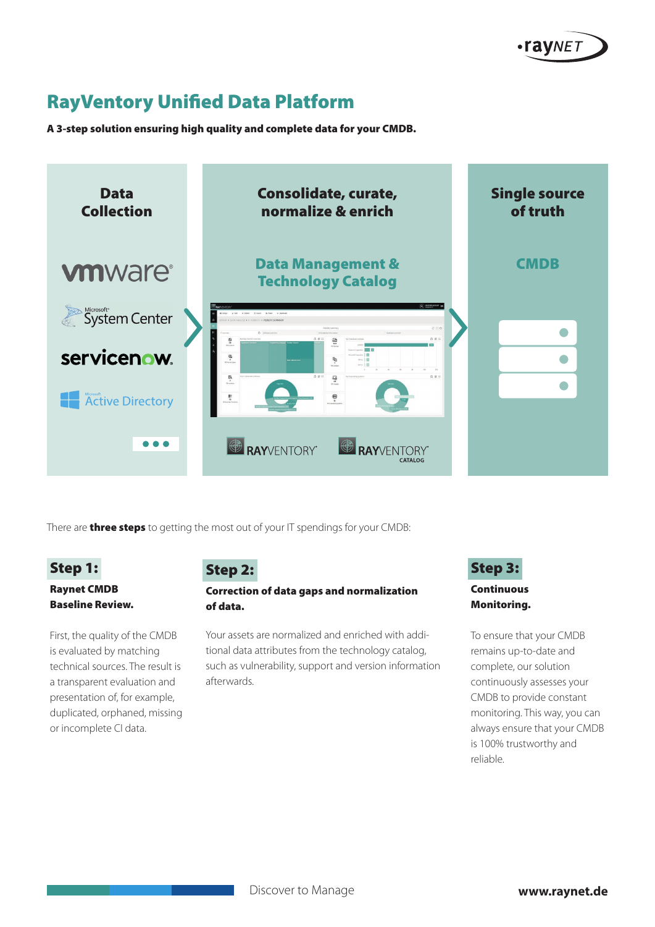

## **RayVentory Unified Data Platform**

A 3-step solution ensuring high quality and complete data for your CMDB.



There are **three steps** to getting the most out of your IT spendings for your CMDB:

#### Step 1:

#### Raynet CMDB Baseline Review.

First, the quality of the CMDB is evaluated by matching technical sources. The result is a transparent evaluation and presentation of, for example, duplicated, orphaned, missing or incomplete CI data.

#### Step 2:

#### Correction of data gaps and normalization of data.

Your assets are normalized and enriched with additional data attributes from the technology catalog, such as vulnerability, support and version information afterwards.

#### Step 3:

#### Continuous Monitoring.

To ensure that your CMDB remains up-to-date and complete, our solution continuously assesses your CMDB to provide constant monitoring. This way, you can always ensure that your CMDB is 100% trustworthy and reliable.